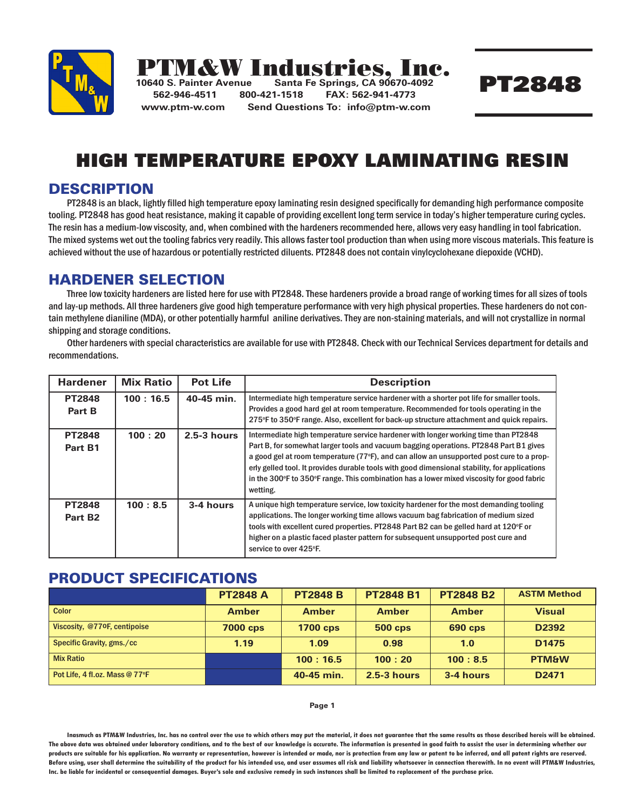

# **PTM&W Industries,**<br>10640 S. Painter Avenue Santa Fe Springs, CA 900

**10640 S. Painter Avenue Santa Fe Springs, CA 90670-4092 562-946-4511 800-421-1518 FAX: 562-941-4773 www.ptm-w.com Send Questions To: info@ptm-w.com**

## PT2848

### HIGH TEMPERATURE EPOXY LAMINATING RESIN

#### **DESCRIPTION**

PT2848 is an black, lightly filled high temperature epoxy laminating resin designed specifically for demanding high performance composite tooling. PT2848 has good heat resistance, making it capable of providing excellent long term service in today's higher temperature curing cycles. The resin has a medium-low viscosity, and, when combined with the hardeners recommended here, allows very easy handling in tool fabrication. The mixed systems wet out the tooling fabrics very readily. This allows faster tool production than when using more viscous materials. This feature is achieved without the use of hazardous or potentially restricted diluents. PT2848 does not contain vinylcyclohexane diepoxide (VCHD).

#### HARDENER SELECTION

Three low toxicity hardeners are listed here for use with PT2848. These hardeners provide a broad range of working times for all sizes of tools and lay-up methods. All three hardeners give good high temperature performance with very high physical properties. These hardeners do not contain methylene dianiline (MDA), or other potentially harmful aniline derivatives. They are non-staining materials, and will not crystallize in normal shipping and storage conditions.

Other hardeners with special characteristics are available for use with PT2848. Check with our Technical Services department for details and recommendations.

| <b>Hardener</b>                      | <b>Mix Ratio</b> | <b>Pot Life</b> | <b>Description</b>                                                                                                                                                                                                                                                                                                                                                                                                                                                                            |
|--------------------------------------|------------------|-----------------|-----------------------------------------------------------------------------------------------------------------------------------------------------------------------------------------------------------------------------------------------------------------------------------------------------------------------------------------------------------------------------------------------------------------------------------------------------------------------------------------------|
| <b>PT2848</b><br>Part B              | 100:16.5         | 40-45 min.      | Intermediate high temperature service hardener with a shorter pot life for smaller tools.<br>Provides a good hard gel at room temperature. Recommended for tools operating in the<br>275°F to 350°F range. Also, excellent for back-up structure attachment and quick repairs.                                                                                                                                                                                                                |
| <b>PT2848</b><br>Part B1             | 100:20           | $2.5-3$ hours   | Intermediate high temperature service hardener with longer working time than PT2848<br>Part B, for somewhat larger tools and vacuum bagging operations. PT2848 Part B1 gives<br>a good gel at room temperature ( $77^{\circ}$ F), and can allow an unsupported post cure to a prop-<br>erly gelled tool. It provides durable tools with good dimensional stability, for applications<br>in the 300°F to 350°F range. This combination has a lower mixed viscosity for good fabric<br>wetting. |
| <b>PT2848</b><br>Part B <sub>2</sub> | 100:8.5          | 3-4 hours       | A unique high temperature service, low toxicity hardener for the most demanding tooling<br>applications. The longer working time allows vacuum bag fabrication of medium sized<br>tools with excellent cured properties. PT2848 Part B2 can be gelled hard at 120°F or<br>higher on a plastic faced plaster pattern for subsequent unsupported post cure and<br>service to over 425°F.                                                                                                        |

#### PRODUCT SPECIFICATIONS

|                                | <b>PT2848 A</b> | <b>PT2848 B</b> | <b>PT2848 B1</b> | <b>PT2848 B2</b> | <b>ASTM Method</b> |
|--------------------------------|-----------------|-----------------|------------------|------------------|--------------------|
| <b>Color</b>                   | <b>Amber</b>    | <b>Amber</b>    | <b>Amber</b>     | <b>Amber</b>     | <b>Visual</b>      |
| Viscosity, @770F, centipoise   | <b>7000 cps</b> | <b>1700 cps</b> | <b>500 cps</b>   | <b>690 cps</b>   | D2392              |
| Specific Gravity, gms./cc      | 1.19            | 1.09            | 0.98             | 1.0              | D <sub>1475</sub>  |
| <b>Mix Ratio</b>               |                 | 100:16.5        | 100:20           | 100:8.5          | <b>PTM&amp;W</b>   |
| Pot Life, 4 fl.oz. Mass @ 77°F |                 | 40-45 min.      | $2.5 - 3$ hours  | 3-4 hours        | D <sub>2471</sub>  |

#### **Page 1**

**Inasmuch as PTM&W Industries, Inc. has no control over the use to which others may put the material, it does not guarantee that the same results as those described hereis will be obtained. The above data was obtained under laboratory conditions, and to the best of our knowledge is accurate. The information is presented in good faith to assist the user in determining whether our products are suitable for his application. No warranty or representation, however is intended or made, nor is protection from any law or patent to be inferred, and all patent rights are reserved. Before using, user shall determine the suitability of the product for his intended use, and user assumes all risk and liability whatsoever in connection therewith. In no event will PTM&W Industries, Inc. be liable for incidental or consequential damages. Buyer's sole and exclusive remedy in such instances shall be limited to replacement of the purchase price.**